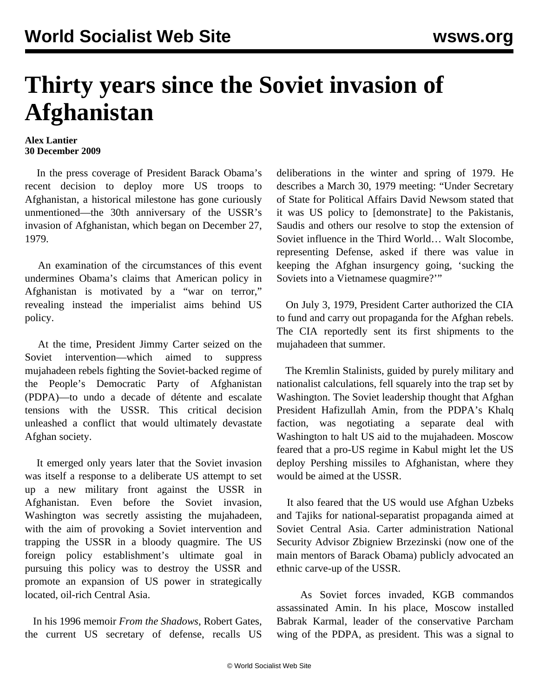## **Thirty years since the Soviet invasion of Afghanistan**

## **Alex Lantier 30 December 2009**

 In the press coverage of President Barack Obama's recent decision to deploy more US troops to Afghanistan, a historical milestone has gone curiously unmentioned—the 30th anniversary of the USSR's invasion of Afghanistan, which began on December 27, 1979.

 An examination of the circumstances of this event undermines Obama's claims that American policy in Afghanistan is motivated by a "war on terror," revealing instead the imperialist aims behind US policy.

 At the time, President Jimmy Carter seized on the Soviet intervention—which aimed to suppress mujahadeen rebels fighting the Soviet-backed regime of the People's Democratic Party of Afghanistan (PDPA)—to undo a decade of détente and escalate tensions with the USSR. This critical decision unleashed a conflict that would ultimately devastate Afghan society.

 It emerged only years later that the Soviet invasion was itself a response to a deliberate US attempt to set up a new military front against the USSR in Afghanistan. Even before the Soviet invasion, Washington was secretly assisting the mujahadeen, with the aim of provoking a Soviet intervention and trapping the USSR in a bloody quagmire. The US foreign policy establishment's ultimate goal in pursuing this policy was to destroy the USSR and promote an expansion of US power in strategically located, oil-rich Central Asia.

 In his 1996 memoir *From the Shadows*, Robert Gates, the current US secretary of defense, recalls US deliberations in the winter and spring of 1979. He describes a March 30, 1979 meeting: "Under Secretary of State for Political Affairs David Newsom stated that it was US policy to [demonstrate] to the Pakistanis, Saudis and others our resolve to stop the extension of Soviet influence in the Third World… Walt Slocombe, representing Defense, asked if there was value in keeping the Afghan insurgency going, 'sucking the Soviets into a Vietnamese quagmire?'"

 On July 3, 1979, President Carter authorized the CIA to fund and carry out propaganda for the Afghan rebels. The CIA reportedly sent its first shipments to the mujahadeen that summer.

 The Kremlin Stalinists, guided by purely military and nationalist calculations, fell squarely into the trap set by Washington. The Soviet leadership thought that Afghan President Hafizullah Amin, from the PDPA's Khalq faction, was negotiating a separate deal with Washington to halt US aid to the mujahadeen. Moscow feared that a pro-US regime in Kabul might let the US deploy Pershing missiles to Afghanistan, where they would be aimed at the USSR.

 It also feared that the US would use Afghan Uzbeks and Tajiks for national-separatist propaganda aimed at Soviet Central Asia. Carter administration National Security Advisor Zbigniew Brzezinski (now one of the main mentors of Barack Obama) publicly advocated an ethnic carve-up of the USSR.

 As Soviet forces invaded, KGB commandos assassinated Amin. In his place, Moscow installed Babrak Karmal, leader of the conservative Parcham wing of the PDPA, as president. This was a signal to